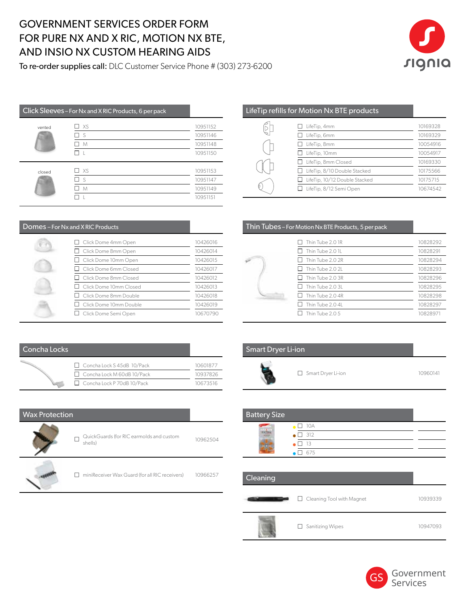### GOVERNMENT SERVICES ORDER FORM FOR PURE NX AND X RIC, MOTION NX BTE, AND INSIO NX CUSTOM HEARING AIDS

To re-order supplies call: DLC Customer Service Phone # (303) 273-6200



| Click Sleeves - For Nx and X RIC Products, 6 per pack |      |          |
|-------------------------------------------------------|------|----------|
| vented                                                | □ xs | 10951152 |
|                                                       | □s   | 10951146 |
|                                                       | M    | 10951148 |
|                                                       |      | 10951150 |
| closed                                                | □ xs | 10951153 |
|                                                       | Пs   | 10951147 |
|                                                       | M    | 10951149 |
|                                                       |      | 10951151 |

| Domes - For Nx and X RIC Products |          |
|-----------------------------------|----------|
| Click Dome 4mm Open               | 10426016 |
| Click Dome 8mm Open               | 10426014 |
| Click Dome 10mm Open              | 10426015 |
| Click Dome 6mm Closed             | 10426017 |
| Click Dome 8mm Closed             | 10426012 |
| Click Dome 10mm Closed            | 10426013 |
| Click Dome 8mm Double             | 10426018 |
| Click Dome 10mm Double            | 10426019 |
| $\Box$ Click Dome Semi Open       | 10670790 |

|  |  | LifeTip refills for Motion Nx BTE products |
|--|--|--------------------------------------------|
|  |  |                                            |

| LifeTip, 4mm                  | 10169328 |
|-------------------------------|----------|
| LifeTip, 6mm                  | 10169329 |
| LifeTip, 8mm                  | 10054916 |
| LifeTip, 10mm                 | 10054917 |
| LifeTip, 8mm Closed           | 10169330 |
| LifeTip, 8/10 Double Stacked  | 10175566 |
| LifeTip, 10/12 Double Stacked | 10175715 |
| LifeTip, 8/12 Semi Open       | 10674542 |

| Thin Tubes - For Motion Nx BTE Products, 5 per pack |  |
|-----------------------------------------------------|--|
|                                                     |  |

| Thin Tube 2.0 IR | 10828292 |
|------------------|----------|
| Thin Tube 2.0 1L | 10828291 |
| Thin Tube 2.0 2R | 10828294 |
| Thin Tube 2.0 2L | 10828293 |
| Thin Tube 2.0 3R | 10828296 |
| Thin Tube 2.0 3L | 10828295 |
| Thin Tube 2.0 4R | 10828298 |
| Thin Tube 2.04L  | 10828297 |
| Thin Tube 2.05   | 10828971 |
|                  |          |

| Concha Locks |                                   |          |
|--------------|-----------------------------------|----------|
|              | □ Concha Lock S 45dB 10/Pack      | 10601877 |
|              | $\Box$ Concha Lock M 60dB 10/Pack | 10937826 |
|              | □ Concha Lock P 70dB 10/Pack      | 10673516 |

| <b>Wax Protection</b> |                                                          |          | <b>Battery S</b> |
|-----------------------|----------------------------------------------------------|----------|------------------|
|                       | QuickGuards (for RIC earmolds and custom<br>shells)      | 10962504 |                  |
|                       | miniReceiver Wax Guard (for all RIC receivers)<br>$\Box$ | 10966257 | Cleaning         |

| <b>Smart Dryer Li-ion</b> |  |
|---------------------------|--|
|                           |  |

□ Smart Dryer Li-ion 10960141

| <b>Battery Size</b> |                      |  |
|---------------------|----------------------|--|
|                     | $\Box$ 10A           |  |
|                     | $\bullet$ $\Box$ 312 |  |
|                     | $\Box$ 13            |  |
|                     | $\Box$ 675           |  |

| Cleaning |                                  |          |
|----------|----------------------------------|----------|
|          | $\Box$ Cleaning Tool with Magnet | 10939339 |
|          | $\Box$ Sanitizing Wipes          | 10947093 |